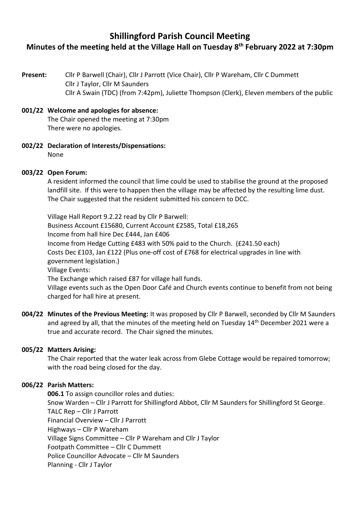# **Shillingford Parish Council Meeting Minutes of the meeting held at the Village Hall on Tuesday 8 th February 2022 at 7:30pm**

**Present:** Cllr P Barwell (Chair), Cllr J Parrott (Vice Chair), Cllr P Wareham, Cllr C Dummett Cllr J Taylor, Cllr M Saunders Cllr A Swain (TDC) (from 7:42pm), Juliette Thompson (Clerk), Eleven members of the public

# **001/22 Welcome and apologies for absence:**

The Chair opened the meeting at 7:30pm There were no apologies.

**002/22 Declaration of Interests/Dispensations:**  None

#### **003/22 Open Forum:**

A resident informed the council that lime could be used to stabilise the ground at the proposed landfill site. If this were to happen then the village may be affected by the resulting lime dust. The Chair suggested that the resident submitted his concern to DCC.

Village Hall Report 9.2.22 read by Cllr P Barwell: Business Account £15680, Current Account £2585, Total £18,265 Income from hall hire Dec £444, Jan £406 Income from Hedge Cutting £483 with 50% paid to the Church. (£241.50 each) Costs Dec £103, Jan £122 (Plus one-off cost of £768 for electrical upgrades in line with government legislation.) Village Events: The Exchange which raised £87 for village hall funds. Village events such as the Open Door Café and Church events continue to benefit from not being charged for hall hire at present.

**004/22 Minutes of the Previous Meeting:** It was proposed by Cllr P Barwell, seconded by Cllr M Saunders and agreed by all, that the minutes of the meeting held on Tuesday 14<sup>th</sup> December 2021 were a true and accurate record. The Chair signed the minutes.

#### **005/22 Matters Arising:**

The Chair reported that the water leak across from Glebe Cottage would be repaired tomorrow; with the road being closed for the day.

#### **006/22 Parish Matters:**

**006.1** To assign councillor roles and duties: Snow Warden – Cllr J Parrott for Shillingford Abbot, Cllr M Saunders for Shillingford St George. TALC Rep – Cllr J Parrott Financial Overview – Cllr J Parrott Highways – Cllr P Wareham Village Signs Committee – Cllr P Wareham and Cllr J Taylor Footpath Committee – Cllr C Dummett Police Councillor Advocate – Cllr M Saunders Planning - Cllr J Taylor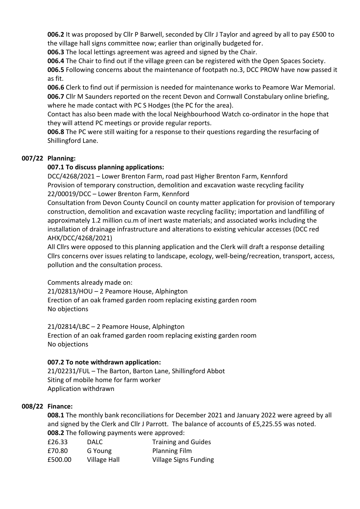**006.2** It was proposed by Cllr P Barwell, seconded by Cllr J Taylor and agreed by all to pay £500 to the village hall signs committee now; earlier than originally budgeted for.

**006.3** The local lettings agreement was agreed and signed by the Chair.

**006.4** The Chair to find out if the village green can be registered with the Open Spaces Society. **006.5** Following concerns about the maintenance of footpath no.3, DCC PROW have now passed it as fit.

**006.6** Clerk to find out if permission is needed for maintenance works to Peamore War Memorial. **006.7** Cllr M Saunders reported on the recent Devon and Cornwall Constabulary online briefing, where he made contact with PC S Hodges (the PC for the area).

Contact has also been made with the local Neighbourhood Watch co-ordinator in the hope that they will attend PC meetings or provide regular reports.

**006.8** The PC were still waiting for a response to their questions regarding the resurfacing of Shillingford Lane.

#### **007/22 Planning:**

#### **007.1 To discuss planning applications:**

DCC/4268/2021 – Lower Brenton Farm, road past Higher Brenton Farm, Kennford Provision of temporary construction, demolition and excavation waste recycling facility 22/00019/DCC – Lower Brenton Farm, Kennford

Consultation from Devon County Council on county matter application for provision of temporary construction, demolition and excavation waste recycling facility; importation and landfilling of approximately 1.2 million cu.m of inert waste materials; and associated works including the installation of drainage infrastructure and alterations to existing vehicular accesses (DCC red AHX/DCC/4268/2021)

All Cllrs were opposed to this planning application and the Clerk will draft a response detailing Cllrs concerns over issues relating to landscape, ecology, well-being/recreation, transport, access, pollution and the consultation process.

Comments already made on:

21/02813/HOU – 2 Peamore House, Alphington Erection of an oak framed garden room replacing existing garden room No objections

21/02814/LBC – 2 Peamore House, Alphington Erection of an oak framed garden room replacing existing garden room No objections

## **007.2 To note withdrawn application:**

21/02231/FUL – The Barton, Barton Lane, Shillingford Abbot Siting of mobile home for farm worker Application withdrawn

## **008/22 Finance:**

**008.1** The monthly bank reconciliations for December 2021 and January 2022 were agreed by all and signed by the Clerk and Cllr J Parrott. The balance of accounts of £5,225.55 was noted. **008.2** The following payments were approved:

| .            |                              |
|--------------|------------------------------|
| <b>DALC</b>  | <b>Training and Guides</b>   |
| G Young      | <b>Planning Film</b>         |
| Village Hall | <b>Village Signs Funding</b> |
|              |                              |